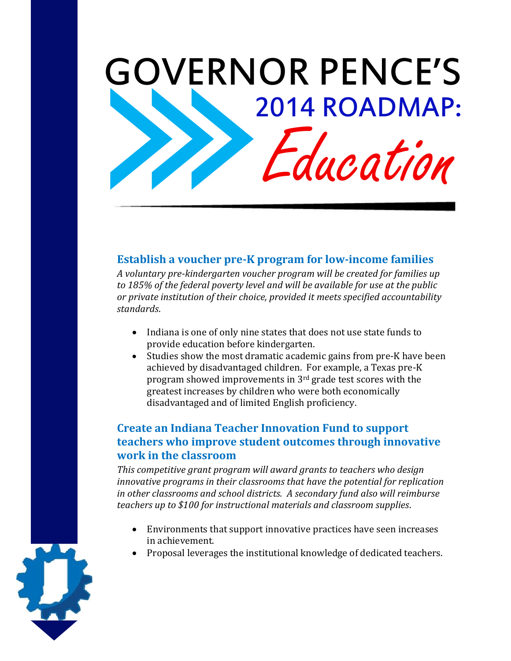

#### **Establish a voucher pre-K program for low-income families**

*A voluntary pre-kindergarten voucher program will be created for families up to 185% of the federal poverty level and will be available for use at the public or private institution of their choice, provided it meets specified accountability standards*.

- Indiana is one of only nine states that does not use state funds to provide education before kindergarten.
- Studies show the most dramatic academic gains from pre-K have been achieved by disadvantaged children. For example, a Texas pre-K program showed improvements in 3rd grade test scores with the greatest increases by children who were both economically disadvantaged and of limited English proficiency.

### **Create an Indiana Teacher Innovation Fund to support teachers who improve student outcomes through innovative work in the classroom**

*This competitive grant program will award grants to teachers who design innovative programs in their classrooms that have the potential for replication in other classrooms and school districts. A secondary fund also will reimburse teachers up to \$100 for instructional materials and classroom supplies*.

- Environments that support innovative practices have seen increases in achievement.
- Proposal leverages the institutional knowledge of dedicated teachers.

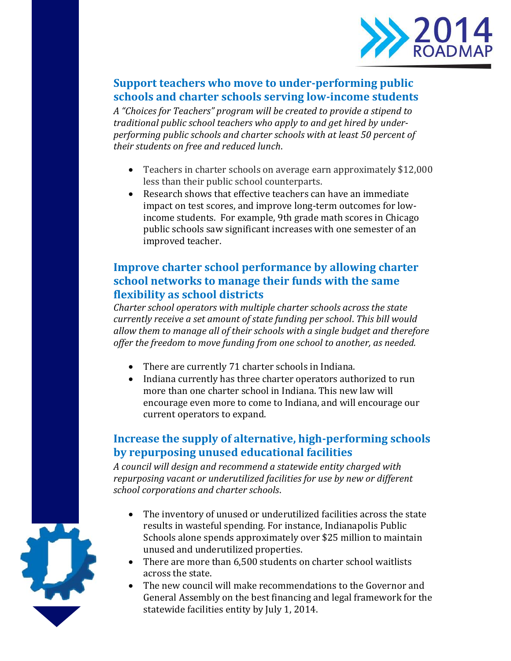

# **Support teachers who move to under-performing public schools and charter schools serving low-income students**

*A "Choices for Teachers" program will be created to provide a stipend to traditional public school teachers who apply to and get hired by underperforming public schools and charter schools with at least 50 percent of their students on free and reduced lunch*.

- Teachers in charter schools on average earn approximately \$12,000 less than their public school counterparts.
- Research shows that effective teachers can have an immediate impact on test scores, and improve long-term outcomes for lowincome students. For example, 9th grade math scores in Chicago public schools saw significant increases with one semester of an improved teacher.

# **Improve charter school performance by allowing charter school networks to manage their funds with the same flexibility as school districts**

*Charter school operators with multiple charter schools across the state currently receive a set amount of state funding per school*. *This bill would allow them to manage all of their schools with a single budget and therefore offer the freedom to move funding from one school to another, as needed.* 

- There are currently 71 charter schools in Indiana.
- Indiana currently has three charter operators authorized to run more than one charter school in Indiana. This new law will encourage even more to come to Indiana, and will encourage our current operators to expand.

### **Increase the supply of alternative, high-performing schools by repurposing unused educational facilities**

*A council will design and recommend a statewide entity charged with repurposing vacant or underutilized facilities for use by new or different school corporations and charter schools*.

- The inventory of unused or underutilized facilities across the state results in wasteful spending. For instance, Indianapolis Public Schools alone spends approximately over \$25 million to maintain unused and underutilized properties.
- There are more than 6,500 students on charter school waitlists across the state.
- The new council will make recommendations to the Governor and General Assembly on the best financing and legal framework for the statewide facilities entity by July 1, 2014.